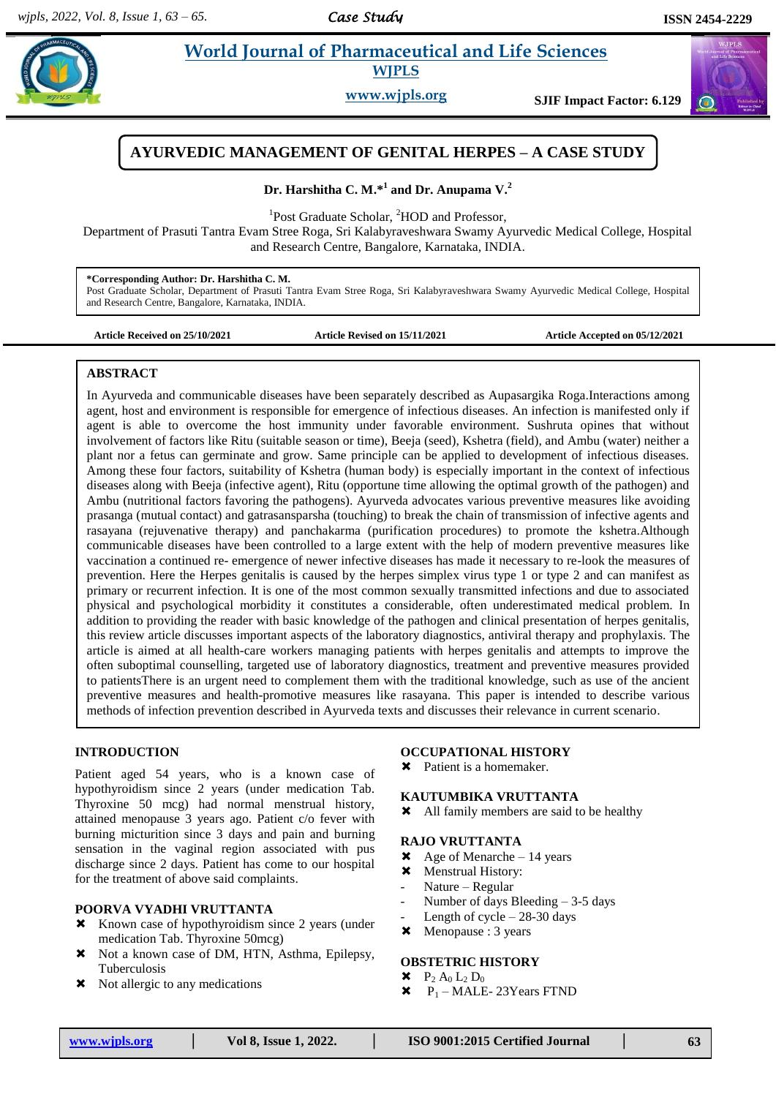# **Para** *et al.* **<b>Pharmaceutical and Life Sciences Pharmaceutical and Life Sciences WJPLS**

**www.wjpls.org SJIF Impact Factor: 6.129**



# **AYURVEDIC MANAGEMENT OF GENITAL HERPES – A CASE STUDY**

**Dr. Harshitha C. M.\* 1 and Dr. Anupama V. 2**

<sup>1</sup>Post Graduate Scholar, <sup>2</sup>HOD and Professor,

Department of Prasuti Tantra Evam Stree Roga, Sri Kalabyraveshwara Swamy Ayurvedic Medical College, Hospital and Research Centre, Bangalore, Karnataka, INDIA.

**\*Corresponding Author: Dr. Harshitha C. M.**

Post Graduate Scholar, Department of Prasuti Tantra Evam Stree Roga, Sri Kalabyraveshwara Swamy Ayurvedic Medical College, Hospital and Research Centre, Bangalore, Karnataka, INDIA.

**Article Received on 25/10/2021 Article Revised on 15/11/2021 Article Accepted on 05/12/2021**

#### **ABSTRACT**

In Ayurveda and communicable diseases have been separately described as Aupasargika Roga.Interactions among agent, host and environment is responsible for emergence of infectious diseases. An infection is manifested only if agent is able to overcome the host immunity under favorable environment. Sushruta opines that without involvement of factors like Ritu (suitable season or time), Beeja (seed), Kshetra (field), and Ambu (water) neither a plant nor a fetus can germinate and grow. Same principle can be applied to development of infectious diseases. Among these four factors, suitability of Kshetra (human body) is especially important in the context of infectious diseases along with Beeja (infective agent), Ritu (opportune time allowing the optimal growth of the pathogen) and Ambu (nutritional factors favoring the pathogens). Ayurveda advocates various preventive measures like avoiding prasanga (mutual contact) and gatrasansparsha (touching) to break the chain of transmission of infective agents and rasayana (rejuvenative therapy) and panchakarma (purification procedures) to promote the kshetra.Although communicable diseases have been controlled to a large extent with the help of modern preventive measures like vaccination a continued re- emergence of newer infective diseases has made it necessary to re-look the measures of prevention. Here the Herpes genitalis is caused by the herpes simplex virus type 1 or type 2 and can manifest as primary or recurrent infection. It is one of the most common sexually transmitted infections and due to associated physical and psychological morbidity it constitutes a considerable, often underestimated medical problem. In addition to providing the reader with basic knowledge of the pathogen and clinical presentation of herpes genitalis, this review article discusses important aspects of the laboratory diagnostics, antiviral therapy and prophylaxis. The article is aimed at all health-care workers managing patients with herpes genitalis and attempts to improve the often suboptimal counselling, targeted use of laboratory diagnostics, treatment and preventive measures provided to patientsThere is an urgent need to complement them with the traditional knowledge, such as use of the ancient preventive measures and health-promotive measures like rasayana. This paper is intended to describe various methods of infection prevention described in Ayurveda texts and discusses their relevance in current scenario.

## **INTRODUCTION**

Patient aged 54 years, who is a known case of hypothyroidism since 2 years (under medication Tab. Thyroxine 50 mcg) had normal menstrual history, attained menopause 3 years ago. Patient c/o fever with burning micturition since 3 days and pain and burning sensation in the vaginal region associated with pus discharge since 2 days. Patient has come to our hospital for the treatment of above said complaints.

## **POORVA VYADHI VRUTTANTA**

- **\*** Known case of hypothyroidism since 2 years (under medication Tab. Thyroxine 50mcg)
- Not a known case of DM, HTN, Asthma, Epilepsy, Tuberculosis
- $\times$  Not allergic to any medications

#### **OCCUPATIONAL HISTORY**

Patient is a homemaker.

#### **KAUTUMBIKA VRUTTANTA**

All family members are said to be healthy

#### **RAJO VRUTTANTA**

- $\star$  Age of Menarche 14 years
- $\times$  Menstrual History:
- Nature Regular
- Number of days Bleeding 3-5 days
- Length of cycle  $28-30$  days
- Menopause : 3 years

## **OBSTETRIC HISTORY**

- $P_2 A_0 L_2 D_0$
- $\star$  P<sub>1</sub> MALE-23Years FTND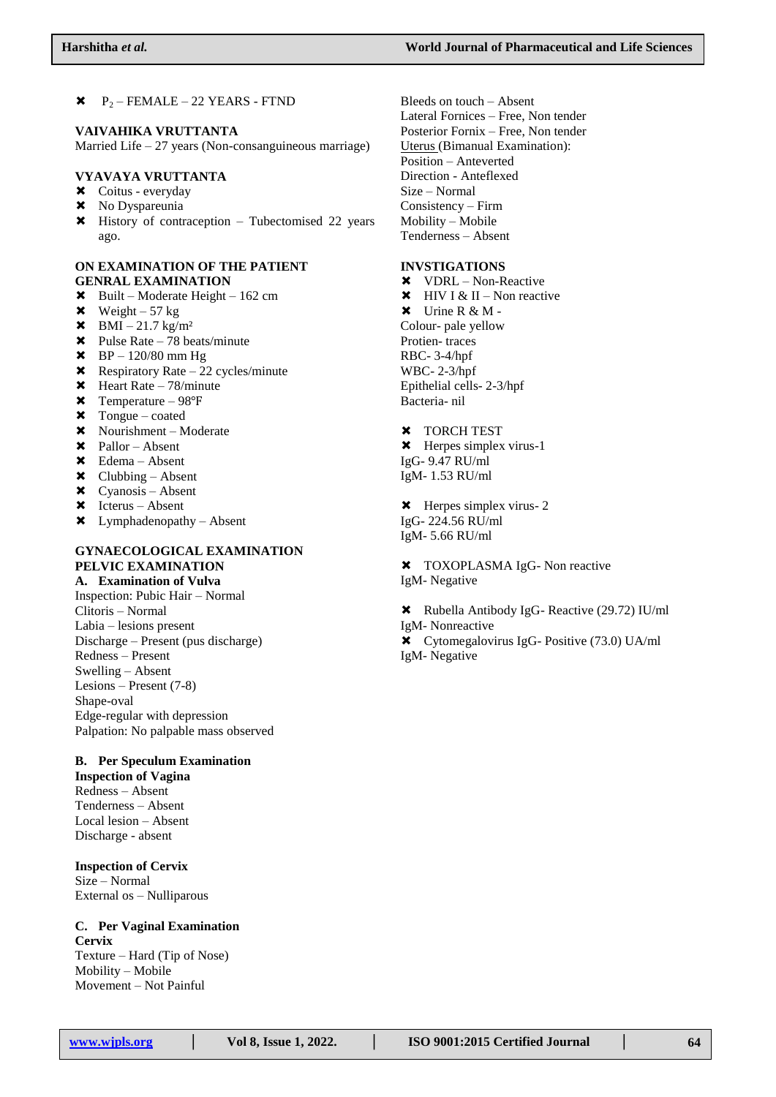$\star$   $P_2$  – FEMALE – 22 YEARS - FTND

#### **VAIVAHIKA VRUTTANTA**

Married Life – 27 years (Non-consanguineous marriage)

## **VYAVAYA VRUTTANTA**

- Coitus everyday
- **x** No Dyspareunia
- History of contraception Tubectomised 22 years ago.

### **ON EXAMINATION OF THE PATIENT GENRAL EXAMINATION**

- $\star$  Built Moderate Height 162 cm
- $\times$  Weight 57 kg
- $\times$  BMI 21.7 kg/m<sup>2</sup>
- $\star$  Pulse Rate 78 beats/minute
- $\star$  BP 120/80 mm Hg
- $\star$  Respiratory Rate 22 cycles/minute
- $\star$  Heart Rate 78/minute
- Temperature 98℉
- $\times$  Tongue coated
- Nourishment Moderate
- $\times$  Pallor Absent
- Edema Absent
- $\times$  Clubbing Absent
- $\times$  Cyanosis Absent
- $\times$  Icterus Absent
- Lymphadenopathy Absent

## **GYNAECOLOGICAL EXAMINATION PELVIC EXAMINATION**

**A. Examination of Vulva** Inspection: Pubic Hair – Normal Clitoris – Normal Labia – lesions present Discharge – Present (pus discharge) Redness – Present Swelling – Absent Lesions – Present (7-8) Shape-oval Edge-regular with depression Palpation: No palpable mass observed

## **B. Per Speculum Examination**

**Inspection of Vagina** Redness – Absent Tenderness – Absent Local lesion – Absent Discharge - absent

**Inspection of Cervix** Size – Normal External os – Nulliparous

# **C. Per Vaginal Examination Cervix** Texture – Hard (Tip of Nose)

Mobility – Mobile Movement – Not Painful Bleeds on touch – Absent Lateral Fornices – Free, Non tender Posterior Fornix – Free, Non tender Uterus (Bimanual Examination): Position – Anteverted Direction - Anteflexed Size – Normal Consistency – Firm Mobility – Mobile Tenderness – Absent

#### **INVSTIGATIONS**

 VDRL – Non-Reactive  $\star$  HIV I & II – Non reactive  $\mathsf{X}$  Urine R & M -Colour- pale yellow Protien- traces RBC- 3-4/hpf WBC- 2-3/hpf Epithelial cells- 2-3/hpf Bacteria- nil

#### **\*** TORCH TEST

- Herpes simplex virus-1 IgG- 9.47 RU/ml IgM- 1.53 RU/ml
- **\*** Herpes simplex virus- 2 IgG- 224.56 RU/ml IgM- 5.66 RU/ml

 $\text{X}$  TOXOPLASMA IgG- Non reactive IgM- Negative

 Rubella Antibody IgG- Reactive (29.72) IU/ml IgM- Nonreactive Cytomegalovirus IgG- Positive (73.0) UA/ml IgM- Negative